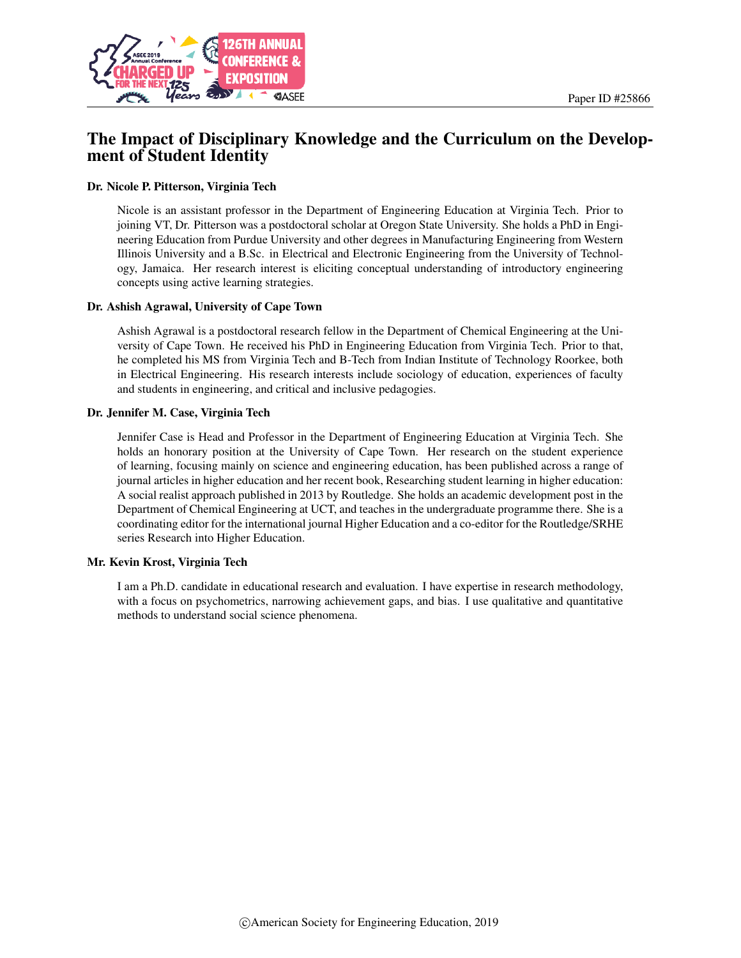

# The Impact of Disciplinary Knowledge and the Curriculum on the Development of Student Identity

#### Dr. Nicole P. Pitterson, Virginia Tech

Nicole is an assistant professor in the Department of Engineering Education at Virginia Tech. Prior to joining VT, Dr. Pitterson was a postdoctoral scholar at Oregon State University. She holds a PhD in Engineering Education from Purdue University and other degrees in Manufacturing Engineering from Western Illinois University and a B.Sc. in Electrical and Electronic Engineering from the University of Technology, Jamaica. Her research interest is eliciting conceptual understanding of introductory engineering concepts using active learning strategies.

#### Dr. Ashish Agrawal, University of Cape Town

Ashish Agrawal is a postdoctoral research fellow in the Department of Chemical Engineering at the University of Cape Town. He received his PhD in Engineering Education from Virginia Tech. Prior to that, he completed his MS from Virginia Tech and B-Tech from Indian Institute of Technology Roorkee, both in Electrical Engineering. His research interests include sociology of education, experiences of faculty and students in engineering, and critical and inclusive pedagogies.

#### Dr. Jennifer M. Case, Virginia Tech

Jennifer Case is Head and Professor in the Department of Engineering Education at Virginia Tech. She holds an honorary position at the University of Cape Town. Her research on the student experience of learning, focusing mainly on science and engineering education, has been published across a range of journal articles in higher education and her recent book, Researching student learning in higher education: A social realist approach published in 2013 by Routledge. She holds an academic development post in the Department of Chemical Engineering at UCT, and teaches in the undergraduate programme there. She is a coordinating editor for the international journal Higher Education and a co-editor for the Routledge/SRHE series Research into Higher Education.

#### Mr. Kevin Krost, Virginia Tech

I am a Ph.D. candidate in educational research and evaluation. I have expertise in research methodology, with a focus on psychometrics, narrowing achievement gaps, and bias. I use qualitative and quantitative methods to understand social science phenomena.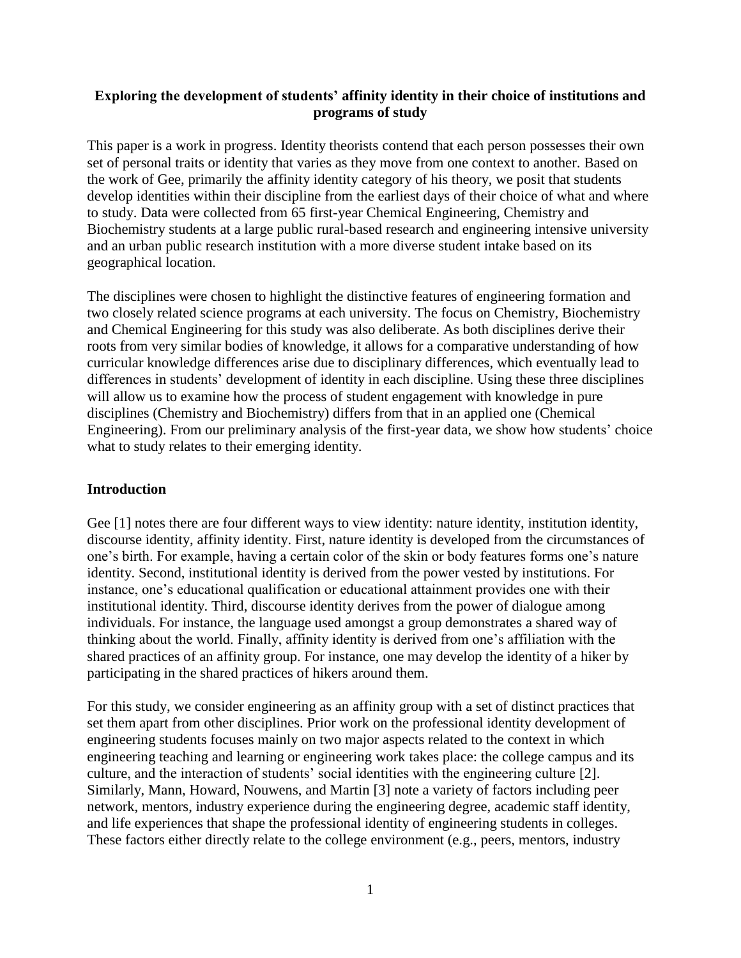### **Exploring the development of students' affinity identity in their choice of institutions and programs of study**

This paper is a work in progress. Identity theorists contend that each person possesses their own set of personal traits or identity that varies as they move from one context to another. Based on the work of Gee, primarily the affinity identity category of his theory, we posit that students develop identities within their discipline from the earliest days of their choice of what and where to study. Data were collected from 65 first-year Chemical Engineering, Chemistry and Biochemistry students at a large public rural-based research and engineering intensive university and an urban public research institution with a more diverse student intake based on its geographical location.

The disciplines were chosen to highlight the distinctive features of engineering formation and two closely related science programs at each university. The focus on Chemistry, Biochemistry and Chemical Engineering for this study was also deliberate. As both disciplines derive their roots from very similar bodies of knowledge, it allows for a comparative understanding of how curricular knowledge differences arise due to disciplinary differences, which eventually lead to differences in students' development of identity in each discipline. Using these three disciplines will allow us to examine how the process of student engagement with knowledge in pure disciplines (Chemistry and Biochemistry) differs from that in an applied one (Chemical Engineering). From our preliminary analysis of the first-year data, we show how students' choice what to study relates to their emerging identity.

### **Introduction**

Gee [1] notes there are four different ways to view identity: nature identity, institution identity, discourse identity, affinity identity. First, nature identity is developed from the circumstances of one's birth. For example, having a certain color of the skin or body features forms one's nature identity. Second, institutional identity is derived from the power vested by institutions. For instance, one's educational qualification or educational attainment provides one with their institutional identity. Third, discourse identity derives from the power of dialogue among individuals. For instance, the language used amongst a group demonstrates a shared way of thinking about the world. Finally, affinity identity is derived from one's affiliation with the shared practices of an affinity group. For instance, one may develop the identity of a hiker by participating in the shared practices of hikers around them.

For this study, we consider engineering as an affinity group with a set of distinct practices that set them apart from other disciplines. Prior work on the professional identity development of engineering students focuses mainly on two major aspects related to the context in which engineering teaching and learning or engineering work takes place: the college campus and its culture, and the interaction of students' social identities with the engineering culture [2]. Similarly, Mann, Howard, Nouwens, and Martin [3] note a variety of factors including peer network, mentors, industry experience during the engineering degree, academic staff identity, and life experiences that shape the professional identity of engineering students in colleges. These factors either directly relate to the college environment (e.g., peers, mentors, industry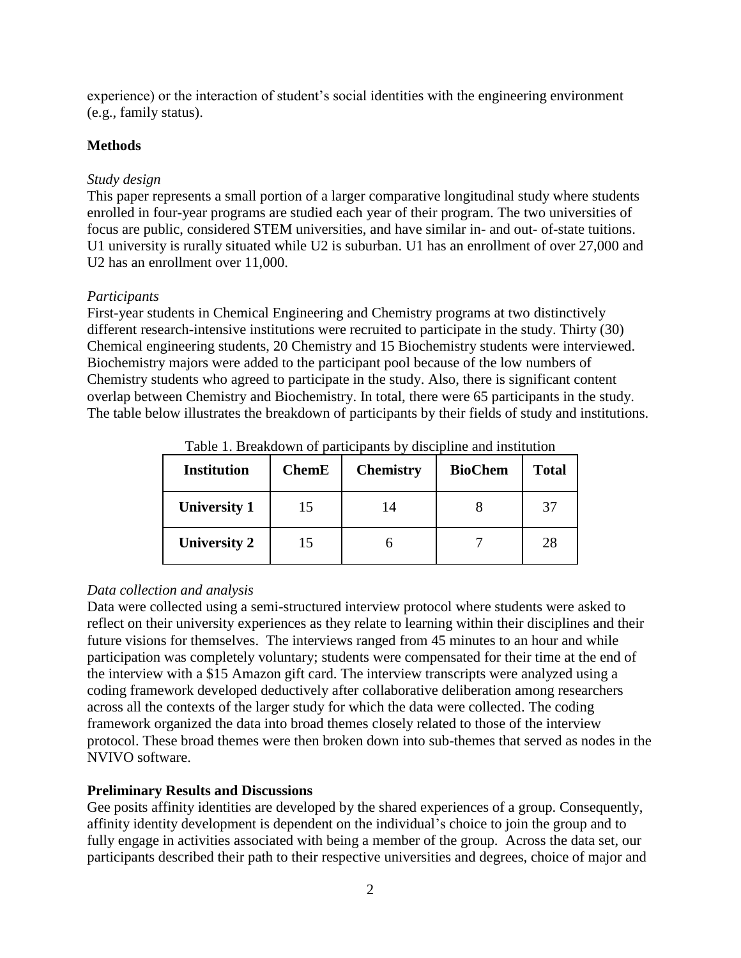experience) or the interaction of student's social identities with the engineering environment (e.g., family status).

## **Methods**

## *Study design*

This paper represents a small portion of a larger comparative longitudinal study where students enrolled in four-year programs are studied each year of their program. The two universities of focus are public, considered STEM universities, and have similar in- and out- of-state tuitions. U1 university is rurally situated while U2 is suburban. U1 has an enrollment of over 27,000 and U2 has an enrollment over 11,000.

## *Participants*

First-year students in Chemical Engineering and Chemistry programs at two distinctively different research-intensive institutions were recruited to participate in the study. Thirty (30) Chemical engineering students, 20 Chemistry and 15 Biochemistry students were interviewed. Biochemistry majors were added to the participant pool because of the low numbers of Chemistry students who agreed to participate in the study. Also, there is significant content overlap between Chemistry and Biochemistry. In total, there were 65 participants in the study. The table below illustrates the breakdown of participants by their fields of study and institutions.

| <b>Institution</b>  | <b>ChemE</b> | <b>Chemistry</b> | <b>BioChem</b> | <b>Total</b> |
|---------------------|--------------|------------------|----------------|--------------|
| <b>University 1</b> | 15           | 14               |                | 37           |
| <b>University 2</b> | 15           |                  |                | 28           |

Table 1. Breakdown of participants by discipline and institution

# *Data collection and analysis*

Data were collected using a semi-structured interview protocol where students were asked to reflect on their university experiences as they relate to learning within their disciplines and their future visions for themselves. The interviews ranged from 45 minutes to an hour and while participation was completely voluntary; students were compensated for their time at the end of the interview with a \$15 Amazon gift card. The interview transcripts were analyzed using a coding framework developed deductively after collaborative deliberation among researchers across all the contexts of the larger study for which the data were collected. The coding framework organized the data into broad themes closely related to those of the interview protocol. These broad themes were then broken down into sub-themes that served as nodes in the NVIVO software.

## **Preliminary Results and Discussions**

Gee posits affinity identities are developed by the shared experiences of a group. Consequently, affinity identity development is dependent on the individual's choice to join the group and to fully engage in activities associated with being a member of the group. Across the data set, our participants described their path to their respective universities and degrees, choice of major and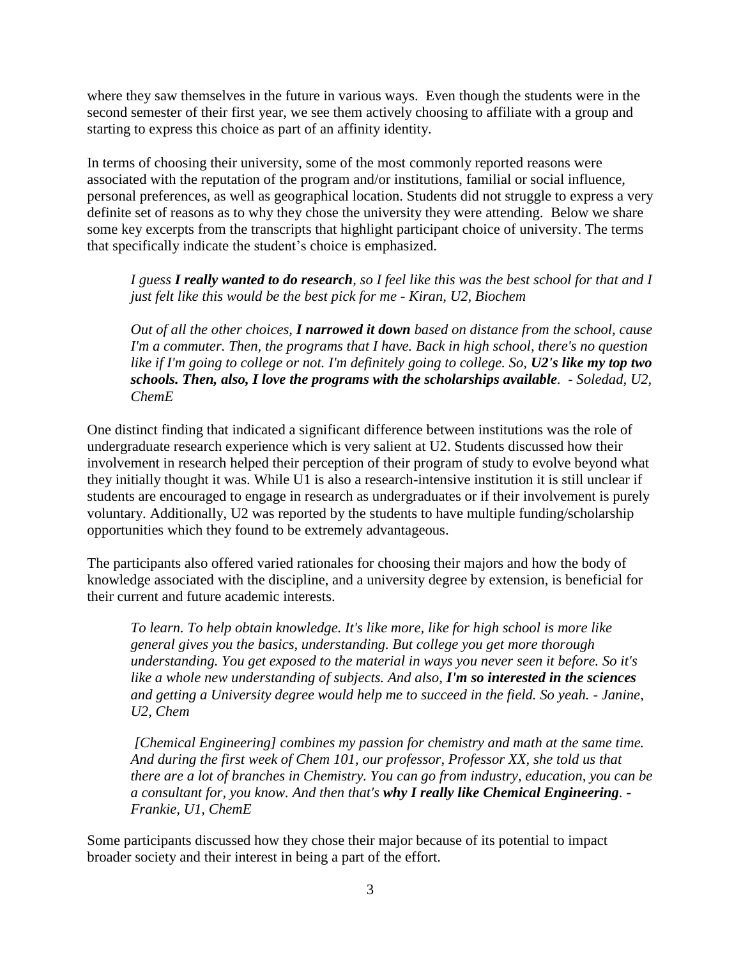where they saw themselves in the future in various ways. Even though the students were in the second semester of their first year, we see them actively choosing to affiliate with a group and starting to express this choice as part of an affinity identity.

In terms of choosing their university, some of the most commonly reported reasons were associated with the reputation of the program and/or institutions, familial or social influence, personal preferences, as well as geographical location. Students did not struggle to express a very definite set of reasons as to why they chose the university they were attending. Below we share some key excerpts from the transcripts that highlight participant choice of university. The terms that specifically indicate the student's choice is emphasized.

*I guess I really wanted to do research, so I feel like this was the best school for that and I just felt like this would be the best pick for me - Kiran, U2, Biochem*

*Out of all the other choices, I narrowed it down based on distance from the school, cause I'm a commuter. Then, the programs that I have. Back in high school, there's no question*  like if I'm going to college or not. I'm definitely going to college. So, U2's like my top two *schools. Then, also, I love the programs with the scholarships available. - Soledad, U2, ChemE*

One distinct finding that indicated a significant difference between institutions was the role of undergraduate research experience which is very salient at U2. Students discussed how their involvement in research helped their perception of their program of study to evolve beyond what they initially thought it was. While U1 is also a research-intensive institution it is still unclear if students are encouraged to engage in research as undergraduates or if their involvement is purely voluntary. Additionally, U2 was reported by the students to have multiple funding/scholarship opportunities which they found to be extremely advantageous.

The participants also offered varied rationales for choosing their majors and how the body of knowledge associated with the discipline, and a university degree by extension, is beneficial for their current and future academic interests.

*To learn. To help obtain knowledge. It's like more, like for high school is more like general gives you the basics, understanding. But college you get more thorough understanding. You get exposed to the material in ways you never seen it before. So it's like a whole new understanding of subjects. And also, I'm so interested in the sciences and getting a University degree would help me to succeed in the field. So yeah. - Janine, U2, Chem*

*[Chemical Engineering] combines my passion for chemistry and math at the same time. And during the first week of Chem 101, our professor, Professor XX, she told us that there are a lot of branches in Chemistry. You can go from industry, education, you can be a consultant for, you know. And then that's why I really like Chemical Engineering. - Frankie, U1, ChemE*

Some participants discussed how they chose their major because of its potential to impact broader society and their interest in being a part of the effort.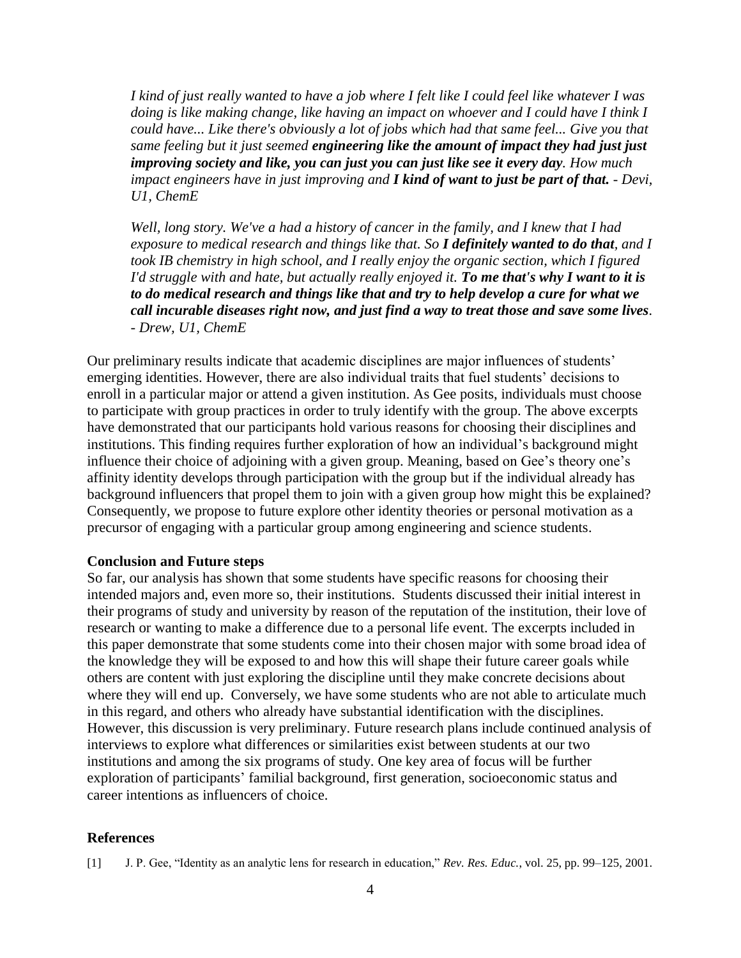*I kind of just really wanted to have a job where I felt like I could feel like whatever I was doing is like making change, like having an impact on whoever and I could have I think I could have... Like there's obviously a lot of jobs which had that same feel... Give you that same feeling but it just seemed engineering like the amount of impact they had just just improving society and like, you can just you can just like see it every day. How much impact engineers have in just improving and I kind of want to just be part of that. - Devi, U1, ChemE*

*Well, long story. We've a had a history of cancer in the family, and I knew that I had exposure to medical research and things like that. So I definitely wanted to do that, and I took IB chemistry in high school, and I really enjoy the organic section, which I figured I'd struggle with and hate, but actually really enjoyed it. To me that's why I want to it is to do medical research and things like that and try to help develop a cure for what we call incurable diseases right now, and just find a way to treat those and save some lives. - Drew, U1, ChemE*

Our preliminary results indicate that academic disciplines are major influences of students' emerging identities. However, there are also individual traits that fuel students' decisions to enroll in a particular major or attend a given institution. As Gee posits, individuals must choose to participate with group practices in order to truly identify with the group. The above excerpts have demonstrated that our participants hold various reasons for choosing their disciplines and institutions. This finding requires further exploration of how an individual's background might influence their choice of adjoining with a given group. Meaning, based on Gee's theory one's affinity identity develops through participation with the group but if the individual already has background influencers that propel them to join with a given group how might this be explained? Consequently, we propose to future explore other identity theories or personal motivation as a precursor of engaging with a particular group among engineering and science students.

### **Conclusion and Future steps**

So far, our analysis has shown that some students have specific reasons for choosing their intended majors and, even more so, their institutions. Students discussed their initial interest in their programs of study and university by reason of the reputation of the institution, their love of research or wanting to make a difference due to a personal life event. The excerpts included in this paper demonstrate that some students come into their chosen major with some broad idea of the knowledge they will be exposed to and how this will shape their future career goals while others are content with just exploring the discipline until they make concrete decisions about where they will end up. Conversely, we have some students who are not able to articulate much in this regard, and others who already have substantial identification with the disciplines. However, this discussion is very preliminary. Future research plans include continued analysis of interviews to explore what differences or similarities exist between students at our two institutions and among the six programs of study. One key area of focus will be further exploration of participants' familial background, first generation, socioeconomic status and career intentions as influencers of choice.

### **References**

[1] J. P. Gee, "Identity as an analytic lens for research in education," *Rev. Res. Educ.*, vol. 25, pp. 99–125, 2001.